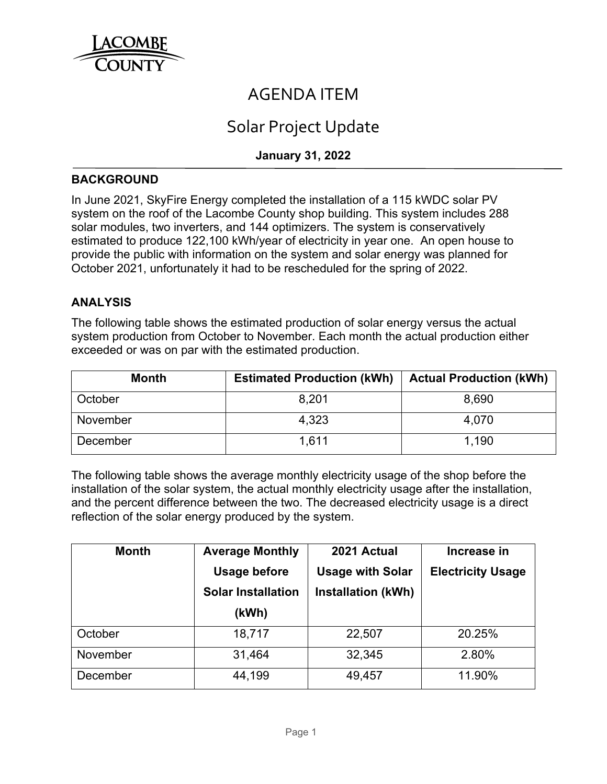

## AGENDA ITEM

# Solar Project Update

## **January 31, 2022**

#### **BACKGROUND**

In June 2021, SkyFire Energy completed the installation of a 115 kWDC solar PV system on the roof of the Lacombe County shop building. This system includes 288 solar modules, two inverters, and 144 optimizers. The system is conservatively estimated to produce 122,100 kWh/year of electricity in year one. An open house to provide the public with information on the system and solar energy was planned for October 2021, unfortunately it had to be rescheduled for the spring of 2022.

#### **ANALYSIS**

The following table shows the estimated production of solar energy versus the actual system production from October to November. Each month the actual production either exceeded or was on par with the estimated production.

| <b>Month</b> | <b>Estimated Production (kWh)</b> | <b>Actual Production (kWh)</b> |
|--------------|-----------------------------------|--------------------------------|
| October      | 8.201                             | 8,690                          |
| November     | 4.323                             | 4,070                          |
| December     | 1.611<br>1.190                    |                                |

The following table shows the average monthly electricity usage of the shop before the installation of the solar system, the actual monthly electricity usage after the installation, and the percent difference between the two. The decreased electricity usage is a direct reflection of the solar energy produced by the system.

| <b>Month</b> | <b>Average Monthly</b>    | 2021 Actual               | Increase in              |
|--------------|---------------------------|---------------------------|--------------------------|
|              | <b>Usage before</b>       | <b>Usage with Solar</b>   | <b>Electricity Usage</b> |
|              | <b>Solar Installation</b> | <b>Installation (kWh)</b> |                          |
|              | (kWh)                     |                           |                          |
| October      | 18,717                    | 22,507                    | 20.25%                   |
| November     | 31,464                    | 32,345                    | 2.80%                    |
| December     | 44,199                    | 49,457                    | 11.90%                   |